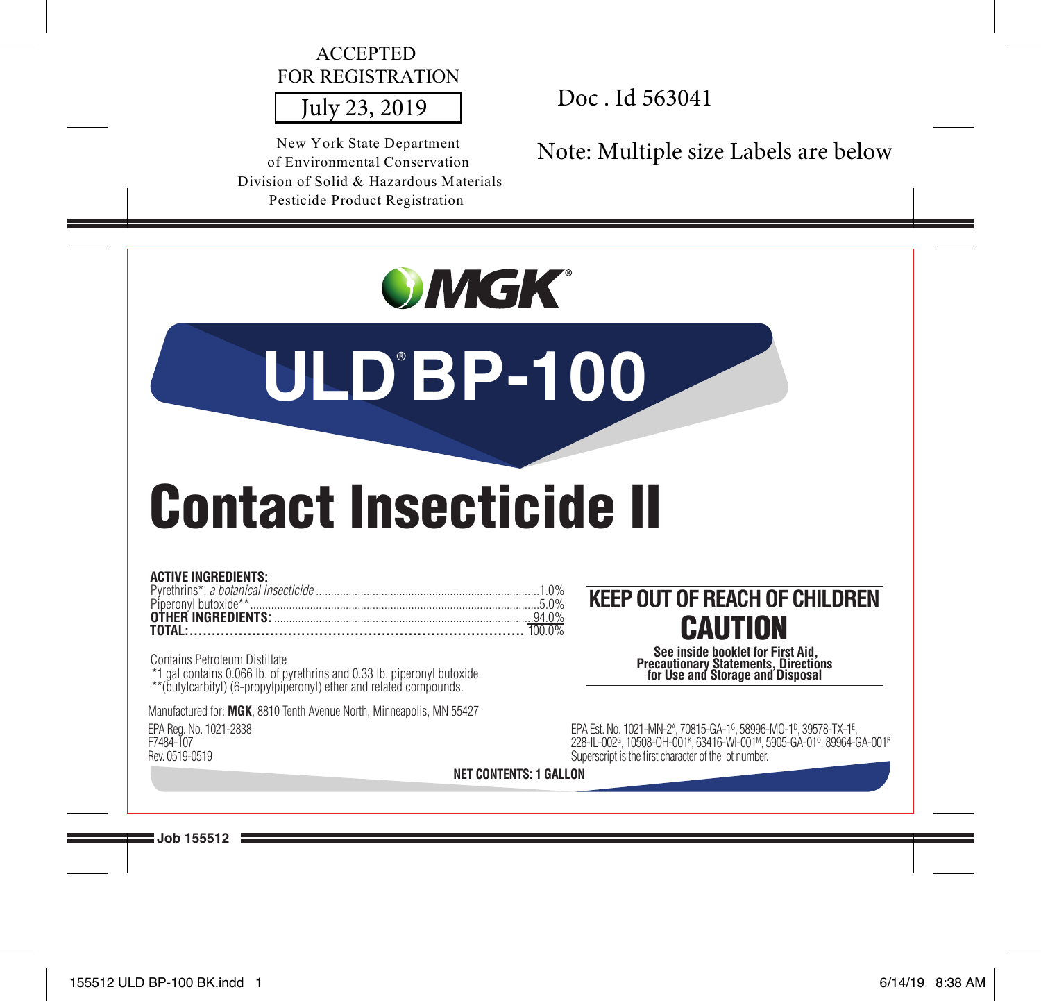# ACCEPTED FOR REGISTRATION

New York State Department of Environmental Conservation Division of Solid & Hazardous Materials Pesticide Product Registration

July 23, 2019 Doc . Id 563041

Note: Multiple size Labels are below

| <b>OMGK</b><br><b>ULD'BP-100</b>                                                                                                                                                                                                           |                                                                                                                                                                                                                                                                                |
|--------------------------------------------------------------------------------------------------------------------------------------------------------------------------------------------------------------------------------------------|--------------------------------------------------------------------------------------------------------------------------------------------------------------------------------------------------------------------------------------------------------------------------------|
| <b>Contact Insecticide II</b><br><b>ACTIVE INGREDIENTS:</b><br>Contains Petroleum Distillate<br>*1 gal contains 0.066 lb. of pyrethrins and 0.33 lb. piperonyl butoxide **(butylcarbityl) (6-propylpiperonyl) ether and related compounds. | <b>KEEP OUT OF REACH OF CHILDREN</b><br><b>CAUTION</b><br>See inside booklet for First Aid.<br><b>Precautionary Statements, Directions</b><br>for Use and Storage and Disposal                                                                                                 |
| Manufactured for: MGK, 8810 Tenth Avenue North, Minneapolis, MN 55427<br>EPA Rea. No. 1021-2838                                                                                                                                            | EPA Est. No. 1021-MN-2 <sup>A</sup> , 70815-GA-1 <sup>c</sup> , 58996-MO-1 <sup>p</sup> , 39578-TX-1 <sup>E</sup> ,<br>228-IL-002°, 10508-OH-001 <sup>K</sup> , 63416-WI-001M, 5905-GA-01°, 89964-GA-001 <sup>R</sup><br>Superscript is the first character of the lot number. |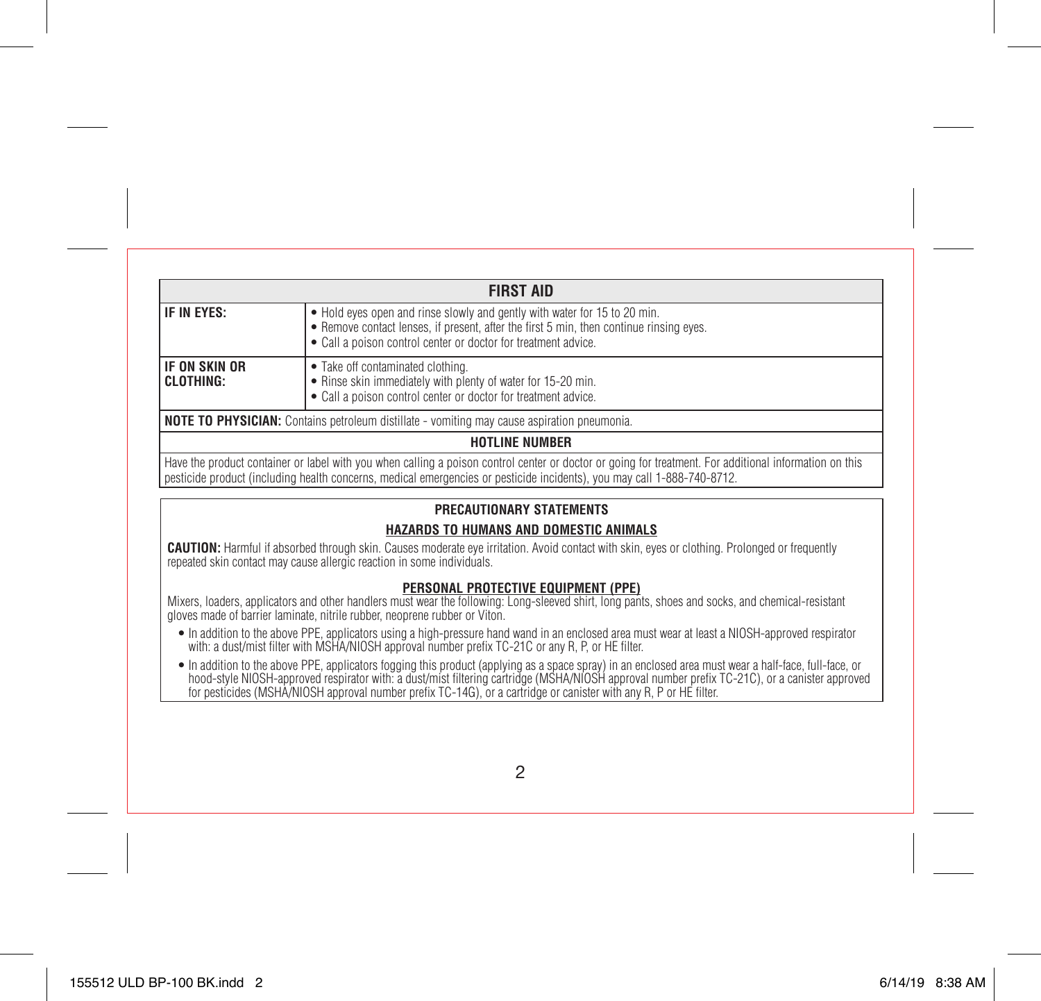| <b>FIRST AID</b>                                                                                                                                                                                                                                                                  |                                                                                                                                                                     |  |  |
|-----------------------------------------------------------------------------------------------------------------------------------------------------------------------------------------------------------------------------------------------------------------------------------|---------------------------------------------------------------------------------------------------------------------------------------------------------------------|--|--|
| IF IN EYES:<br>• Hold eyes open and rinse slowly and gently with water for 15 to 20 min.<br>• Remove contact lenses, if present, after the first 5 min, then continue rinsing eyes.<br>• Call a poison control center or doctor for treatment advice.                             |                                                                                                                                                                     |  |  |
| IF ON SKIN OR<br>CLOTHING:                                                                                                                                                                                                                                                        | • Take off contaminated clothing.<br>. Rinse skin immediately with plenty of water for 15-20 min.<br>• Call a poison control center or doctor for treatment advice. |  |  |
| <b>NOTE TO PHYSICIAN:</b> Contains petroleum distillate - vomiting may cause aspiration pneumonia.                                                                                                                                                                                |                                                                                                                                                                     |  |  |
|                                                                                                                                                                                                                                                                                   | <b>HOTLINE NUMBER</b>                                                                                                                                               |  |  |
| Have the product container or label with you when calling a poison control center or doctor or going for treatment. For additional information on this<br>pesticide product (including health concerns, medical emergencies or pesticide incidents), you may call 1-888-740-8712. |                                                                                                                                                                     |  |  |
| PRECAUTIONARY STATEMENTS                                                                                                                                                                                                                                                          |                                                                                                                                                                     |  |  |
| HAZARDS TO HUMANS AND DOMESTIC ANIMALS                                                                                                                                                                                                                                            |                                                                                                                                                                     |  |  |
| <b>CAUTION:</b> Harmful if absorbed through skin. Causes moderate eye irritation. Avoid contact with skin, eyes or clothing. Prolonged or frequently<br>repeated skin contact may cause allergic reaction in some individuals.                                                    |                                                                                                                                                                     |  |  |
| PERSONAL PROTECTIVE EQUIPMENT (PPE)<br>Mixers, loaders, applicators and other handlers must wear the following: Long-sleeved shirt, long pants, shoes and socks, and chemical-resistant<br>gloves made of barrier laminate, nitrile rubber, neoprene rubber or Viton.             |                                                                                                                                                                     |  |  |

- In addition to the above PPE, applicators using a high-pressure hand wand in an enclosed area must wear at least a NIOSH-approved respirator<br>with: a dust/mist filter with MSHA/NIOSH approval number prefix TC-21C or any
- In addition to the above PPE, applicators fogging this product (applying as a space spray) in an enclosed area must wear a half-face, tull-face, or<br>hood-style NIOSH-approved respirator with: a dust/mist filtering cartrid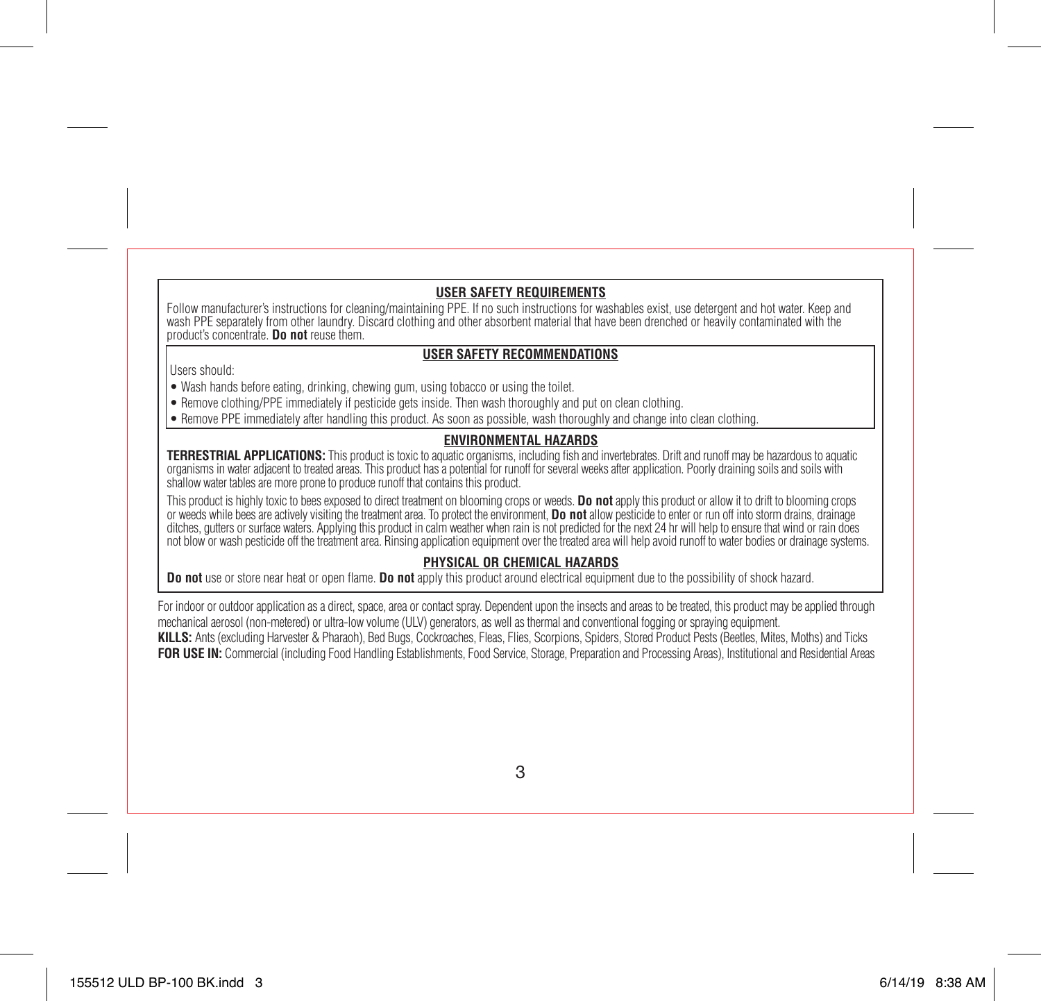# **USER SAFETY REQUIREMENTS**

Follow manufacturer's instructions for cleaning/maintaining PPE. If no such instructions for washables exist, use detergent and hot water. Keep and wash PPE separately from other laundry. Discard clothing and other absorbent material that have been drenched or heavily contaminated with the product's concentrate. **Do not** reuse them.

# **USER SAFETY RECOMMENDATIONS**

Users should:

• Wash hands before eating, drinking, chewing gum, using tobacco or using the toilet.

- Remove clothing/PPE immediately if pesticide gets inside. Then wash thoroughly and put on clean clothing.
- Remove PPE immediately after handling this product. As soon as possible, wash thoroughly and change into clean clothing.

# **ENVIRONMENTAL HAZARDS**

**TERRESTRIAL APPLICATIONS:** This product is toxic to aquatic organisms, including fish and invertebrates. Drift and runoff may be hazardous to aquatic organisms in water adjacent to treated areas. This product has a potential for runoff for several weeks after application. Poorly draining soils and soils with shallow water tables are more prone to produce runoff that contains this product.

This product is highly toxic to bees exposed to direct treatment on blooming crops or weeds. **Do not** apply this product or allow it to drift to blooming crops or weeds while bees are actively visiting the treatment area. To protect the environment, **Do not** allow pesticide to enter or run off into storm drains, drainage ditches, gutters or surface waters. Applying this product in calm weather when rain is not predicted for the next 24 hr will help to ensure that wind or rain does not blow or wash pesticide off the treatment area. Rinsing application equipment over the treated area will help avoid runoff to water bodies or drainage systems.

# **PHYSICAL OR CHEMICAL HAZARDS**

**Do not** use or store near heat or open flame. **Do not** apply this product around electrical equipment due to the possibility of shock hazard.

For indoor or outdoor application as a direct, space, area or contact spray. Dependent upon the insects and areas to be treated, this product may be applied through mechanical aerosol (non-metered) or ultra-low volume (ULV) generators, as well as thermal and conventional fogging or spraying equipment. **KILLS:** Ants (excluding Harvester & Pharaoh), Bed Bugs, Cockroaches, Fleas, Flies, Scorpions, Spiders, Stored Product Pests (Beetles, Mites, Moths) and Ticks **FOR USE IN:** Commercial (including Food Handling Establishments, Food Service, Storage, Preparation and Processing Areas), Institutional and Residential Areas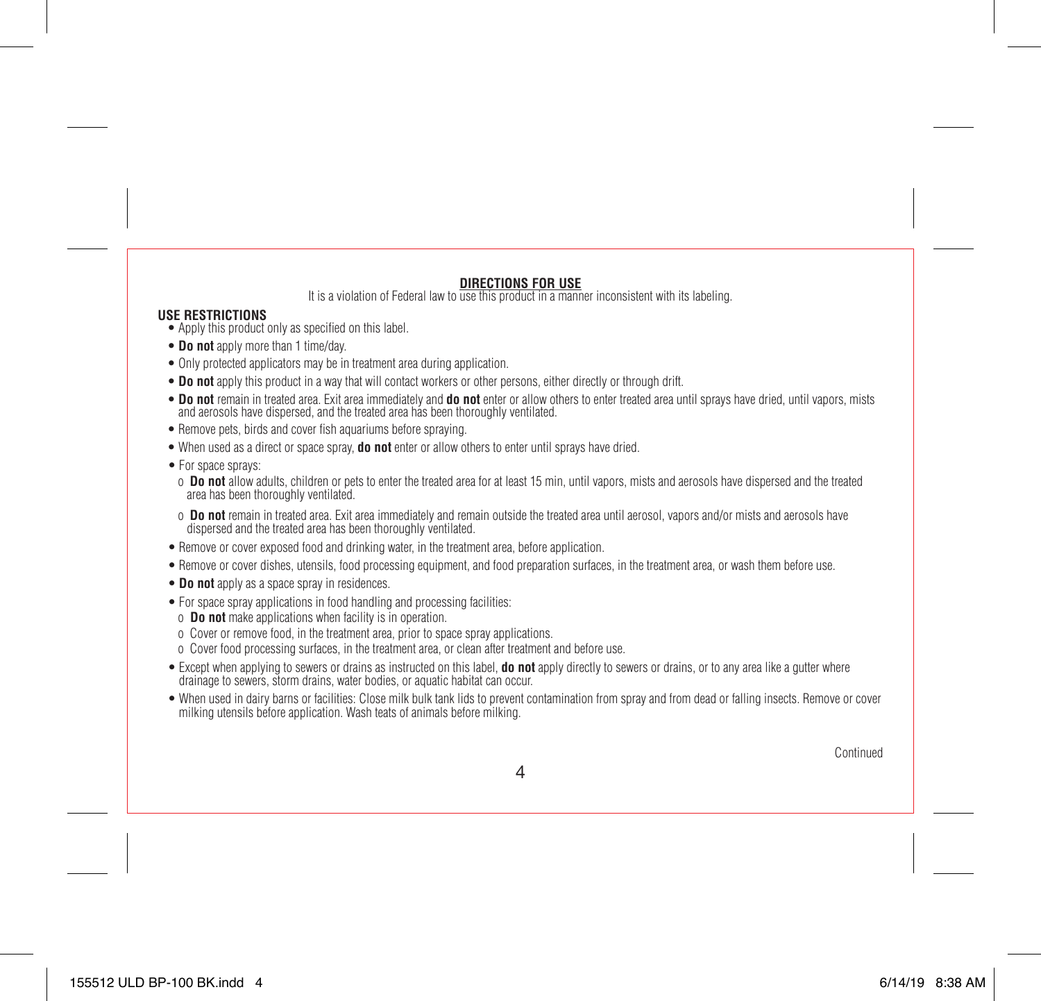# **DIRECTIONS FOR USE**

It is a violation of Federal law to use this product in a manner inconsistent with its labeling.

### **USE RESTRICTIONS**

- Apply this product only as specified on this label.
- **Do not** apply more than 1 time/day.
- Only protected applicators may be in treatment area during application.
- **Do not** apply this product in a way that will contact workers or other persons, either directly or through drift.
- **Do not** remain in treated area. Exit area immediately and **do not** enter or allow others to enter treated area until sprays have dried, until vapors, mists and aerosols have dispersed, and the treated area has been thoroughly ventilated.
- Remove pets, birds and cover fish aquariums before spraying.
- When used as a direct or space spray, **do not** enter or allow others to enter until sprays have dried.
- For space sprays:
- o **Do not** allow adults, children or pets to enter the treated area for at least 15 min, until vapors, mists and aerosols have dispersed and the treated area has been thoroughly ventilated.
- o **Do not** remain in treated area. Exit area immediately and remain outside the treated area until aerosol, vapors and/or mists and aerosols have dispersed and the treated area has been thoroughly ventilated.
- Remove or cover exposed food and drinking water, in the treatment area, before application.
- Remove or cover dishes, utensils, food processing equipment, and food preparation surfaces, in the treatment area, or wash them before use.
- **Do not** apply as a space spray in residences.
- For space spray applications in food handling and processing facilities:
- o **Do not** make applications when facility is in operation.
- o Cover or remove food, in the treatment area, prior to space spray applications.
- o Cover food processing surfaces, in the treatment area, or clean after treatment and before use.
- Except when applying to sewers or drains as instructed on this label, **do not** apply directly to sewers or drains, or to any area like a gutter where drainage to sewers, storm drains, water bodies, or aquatic habitat can occur.
- When used in dairy barns or facilities: Close milk bulk tank lids to prevent contamination from spray and from dead or falling insects. Remove or cover milking utensils before application. Wash teats of animals before milking.

**Continued**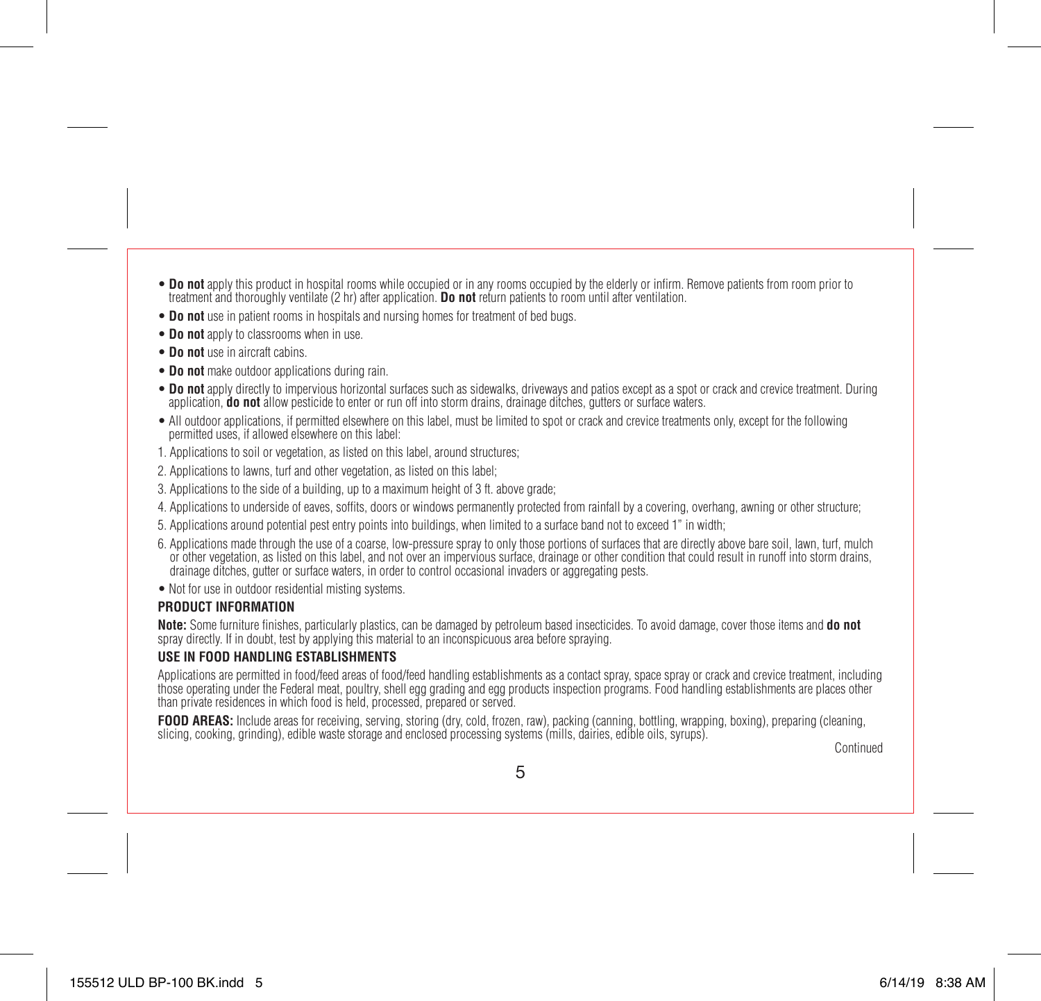- **Do not** apply this product in hospital rooms while occupied or in any rooms occupied by the elderly or infirm. Remove patients from room prior to treatment and thoroughly ventilate (2 hr) after application. **Do not** return patients to room until after ventilation.
- **Do not** use in patient rooms in hospitals and nursing homes for treatment of bed bugs.
- **Do not** apply to classrooms when in use.
- **Do not** use in aircraft cabins.
- **Do not** make outdoor applications during rain.
- **Do not** apply directly to impervious horizontal surfaces such as sidewalks, driveways and patios except as a spot or crack and crevice treatment. During application, **do not** allow pesticide to enter or run off into storm drains, drainage ditches, gutters or surface waters.
- All outdoor applications, if permitted elsewhere on this label, must be limited to spot or crack and crevice treatments only, except for the following permitted uses, if allowed elsewhere on this label:
- 1. Applications to soil or vegetation, as listed on this label, around structures;
- 2. Applications to lawns, turf and other vegetation, as listed on this label;
- 3. Applications to the side of a building, up to a maximum height of 3 ft. above grade;
- 4. Applications to underside of eaves, soffits, doors or windows permanently protected from rainfall by a covering, overhang, awning or other structure;
- 5. Applications around potential pest entry points into buildings, when limited to a surface band not to exceed 1" in width;
- 6. Applications made through the use of a coarse, low-pressure spray to only those portions of surfaces that are directly above bare soil, lawn, turf, mulch or other vegetation, as listed on this label, and not over an impervious surface, drainage or other condition that could result in runoff into storm drains, drainage ditches, gutter or surface waters, in order to control occasional invaders or aggregating pests.
- Not for use in outdoor residential misting systems.

## **PRODUCT INFORMATION**

**Note:** Some furniture finishes, particularly plastics, can be damaged by petroleum based insecticides. To avoid damage, cover those items and **do not** spray directly. If in doubt, test by applying this material to an inconspicuous area before spraying.

# **USE IN FOOD HANDLING ESTABLISHMENTS**

Applications are permitted in food/feed areas of food/feed handling establishments as a contact spray, space spray or crack and crevice treatment, including those operating under the Federal meat, poultry, shell egg grading and egg products inspection programs. Food handling establishments are places other than private residences in which food is held, processed, prepared or served.

**FOOD AREAS:** Include areas for receiving, serving, storing (dry, cold, frozen, raw), packing (canning, bottling, wrapping, boxing), preparing (cleaning, slicing, cooking, grinding), edible waste storage and enclosed processing systems (mills, dairies, edible oils, syrups).

Continued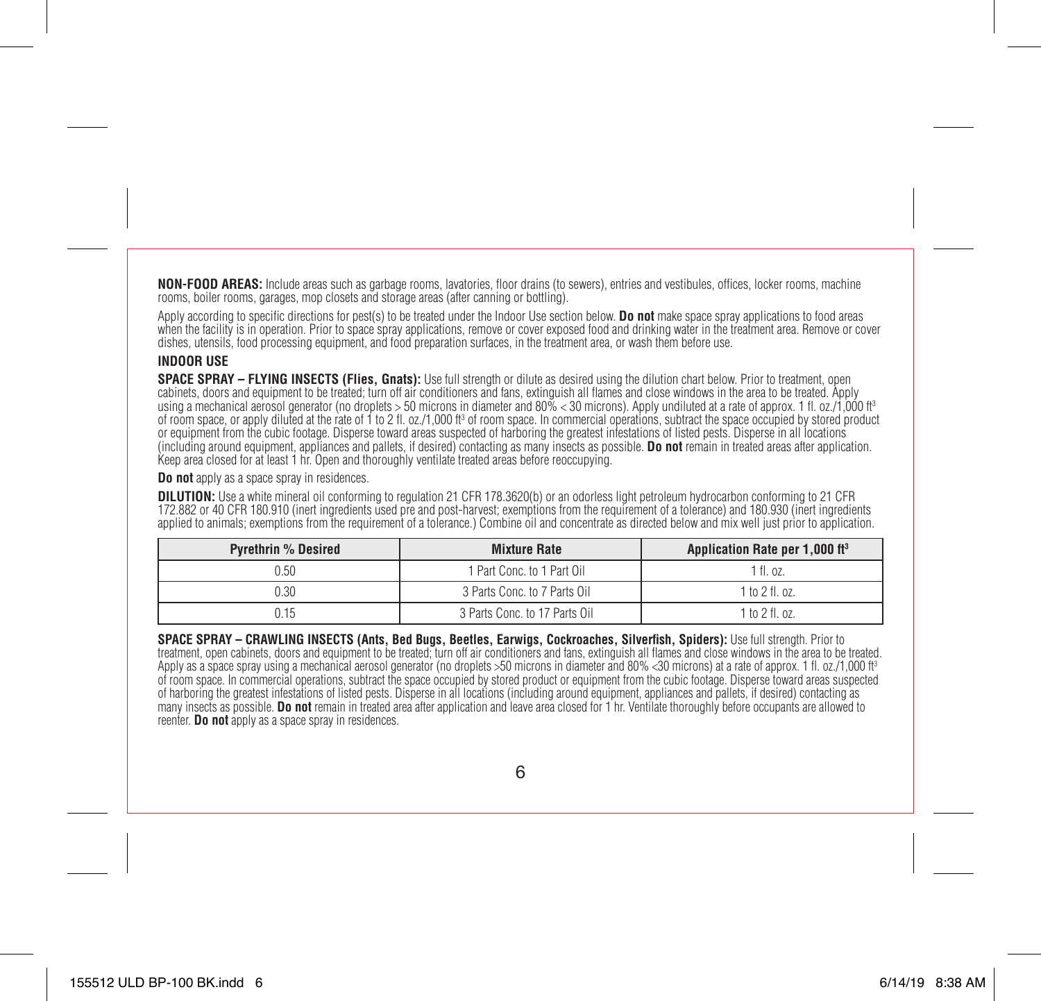**NON-FOOD AREAS:** Include areas such as garbage rooms, lavatories, floor drains (to sewers), entries and vestibules, offices, locker rooms, machine rooms, boiler rooms, garages, mop closets and storage areas (after canning or bottling).

Apply according to specific directions for pest(s) to be treated under the Indoor Use section below. **Do not** make space spray applications to food areas when the facility is in operation. Prior to space spray applications, remove or cover exposed food and drinking water in the treatment area. Remove or cover dishes, utensils, food processing equipment, and food preparation surfaces, in the treatment area, or wash them before use.

## **INDOOR USE**

**SPACE SPRAY – FLYING INSECTS (Flies, Gnats):** Use full strength or dilute as desired using the dilution chart below. Prior to treatment, open cabinets, doors and equipment to be treated; turn off air conditioners and fans, extinguish all flames and close windows in the area to be treated. Apply using a mechanical aerosol generator (no droplets > 50 microns in diameter and 80% < 30 microns). Apply undiluted at a rate of approx. 1 fl. oz./1,000 ft<sup>3</sup> of room space, or apply diluted at the rate of 1 to 2 fl. oz./1,000 ft<sup>3</sup> of room space. In commercial operations, subtract the space occupied by stored product or equipment from the cubic footage. Disperse toward areas suspected of harboring the greatest infestations of listed pests. Disperse in all locations (including around equipment, appliances and pallets, if desired) contacting as many insects as possible. **Do not** remain in treated areas after application. Keep area closed for at least 1 hr. Open and thoroughly ventilate treated areas before reoccupying.

**Do not** apply as a space spray in residences.

**DILUTION:** Use a white mineral oil conforming to regulation 21 CFR 178.3620(b) or an odorless light petroleum hydrocarbon conforming to 21 CFR 172.882 or 40 CFR 180.910 (inert ingredients used pre and post-harvest; exemptions from the requirement of a tolerance) and 180.930 (inert ingredients applied to animals; exemptions from the requirement of a tolerance.) Combine oil and concentrate as directed below and mix well just prior to application.

| <b>Pyrethrin % Desired</b>           | <b>Mixture Rate</b>           | Application Rate per 1,000 ft <sup>3</sup> |
|--------------------------------------|-------------------------------|--------------------------------------------|
| 0.50                                 | 1 Part Conc. to 1 Part Oil    | 1 fl. oz.                                  |
| 3 Parts Conc. to 7 Parts Oil<br>0.30 |                               | $1$ to $2$ fl. oz.                         |
|                                      | 3 Parts Conc. to 17 Parts Oil | 1 to 2 fl. oz.                             |

**SPACE SPRAY – CRAWLING INSECTS (Ants, Bed Bugs, Beetles, Earwigs, Cockroaches, Silverfish, Spiders):** Use full strength. Prior to treatment, open cabinets, doors and equipment to be treated; turn off air conditioners and fans, extinguish all flames and close windows in the area to be treated. Apply as a space spray using a mechanical aerosol generator (no droplets >50 microns in diameter and 80% <30 microns) at a rate of approx. 1 fl. oz./1,000 ft3 of room space. In commercial operations, subtract the space occupied by stored product or equipment from the cubic footage. Disperse toward areas suspected of harboring the greatest infestations of listed pests. Disperse in all locations (including around equipment, appliances and pallets, if desired) contacting as many insects as possible. **Do not** remain in treated area after application and leave area closed for 1 hr. Ventilate thoroughly before occupants are allowed to reenter. **Do not** apply as a space spray in residences.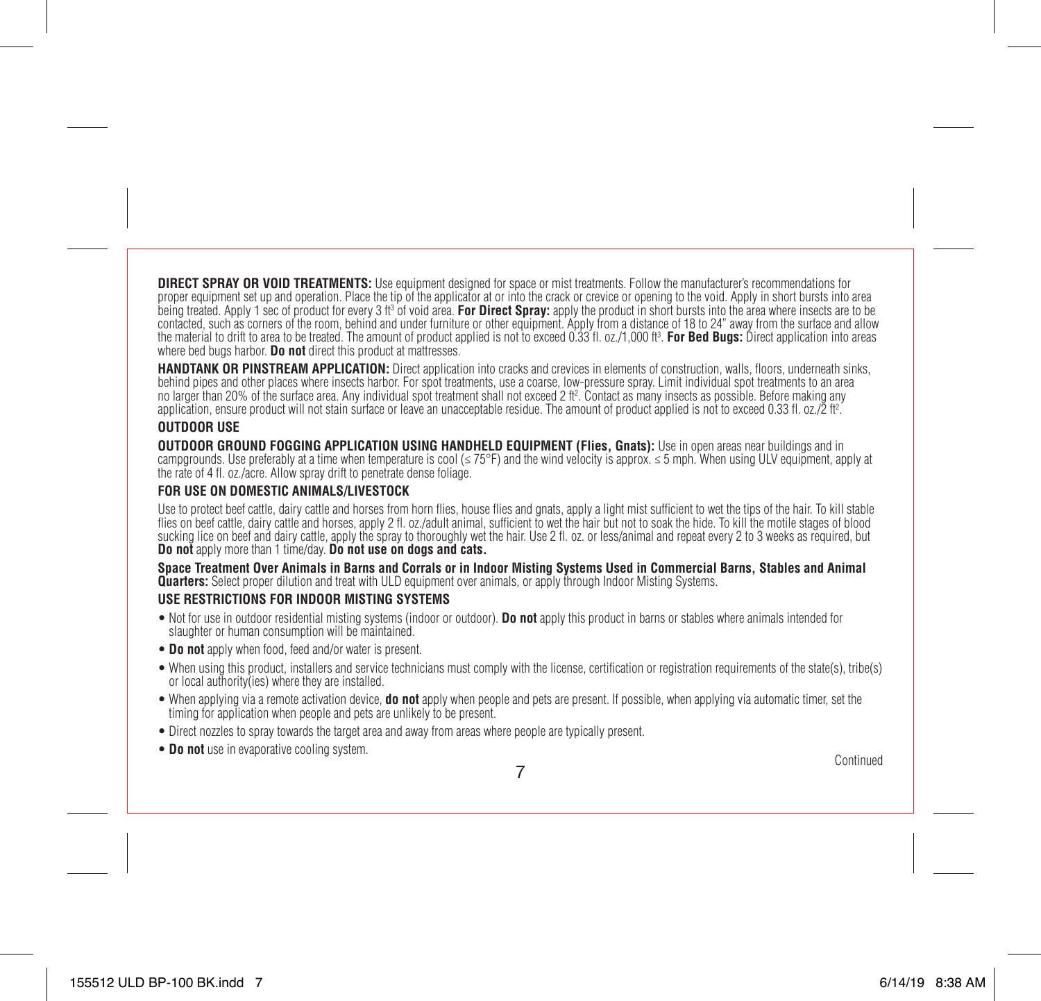**DIRECT SPRAY OR VOID TREATMENTS:** Use equipment designed for space or mist treatments. Follow the manufacturer's recommendations for proper equipment set up and operation. Place the tip of the applicator at or into the crack or crevice or opening to the void. Apply in short bursts into area being treated. Apply 1 sec of product for every 3 ft<sup>3</sup> of void area. **For Direct Spray:** apply the product in short bursts into the area where insects are to be contacted, such as corners of the room, behind and under furniture or other equipment. Apply from a distance of 18 to 24" away from the surface and allow the material to drift to area to be treated. The amount of product applied is not to exceed 0.33 fl. oz./1,000 ft3 . **For Bed Bugs:** Direct application into areas where bed bugs harbor. **Do not** direct this product at mattresses.

**HANDTANK OR PINSTREAM APPLICATION:** Direct application into cracks and crevices in elements of construction, walls, floors, underneath sinks, behind pipes and other places where insects harbor. For spot treatments, use a coarse, low-pressure spray. Limit individual spot treatments to an area no larger than 20% of the surface area. Any individual spot treatment shall not exceed 2 ft². Contact as many insects as possible. Before making any application, ensure product will not stain surface or leave an unacceptable residue. The amount of product applied is not to exceed 0.33 fl. oz./2 ft2 .

## **OUTDOOR USE**

**OUTDOOR GROUND FOGGING APPLICATION USING HANDHELD EQUIPMENT (Flies, Gnats):** Use in open areas near buildings and in campgrounds. Use preferably at a time when temperature is cool ( $\leq 75^{\circ}F$ ) and the wind velocity is approx.  $\leq 5$  mph. When using ULV equipment, apply at the rate of 4 fl. oz./acre. Allow spray drift to penetrate dense foliage.

### **FOR USE ON DOMESTIC ANIMALS/LIVESTOCK**

Use to protect beef cattle, dairy cattle and horses from horn flies, house flies and gnats, apply a light mist sufficient to wet the tips of the hair. To kill stable flies on beef cattle, dairy cattle and horses, apply 2 fl. oz./adult animal, sufficient to wet the hair but not to soak the hide. To kill the motile stages of blood sucking lice on beef and dairy cattle, apply the spray to thoroughly wet the hair. Use 2 fl. oz. or less/animal and repeat every 2 to 3 weeks as required, but **Do not** apply more than 1 time/day. **Do not use on dogs and cats.**

**Space Treatment Over Animals in Barns and Corrals or in Indoor Misting Systems Used in Commercial Barns, Stables and Animal Quarters:** Select proper dilution and treat with ULD equipment over animals, or apply through Indoor Misting Systems.

## **USE RESTRICTIONS FOR INDOOR MISTING SYSTEMS**

- Not for use in outdoor residential misting systems (indoor or outdoor). **Do not** apply this product in barns or stables where animals intended for slaughter or human consumption will be maintained.
- **Do not** apply when food, feed and/or water is present.
- When using this product, installers and service technicians must comply with the license, certification or registration requirements of the state(s), tribe(s) or local authority(ies) where they are installed.
- When applying via a remote activation device, **do not** apply when people and pets are present. If possible, when applying via automatic timer, set the timing for application when people and pets are unlikely to be present.
- Direct nozzles to spray towards the target area and away from areas where people are typically present.
- **Do not** use in evaporative cooling system. Continued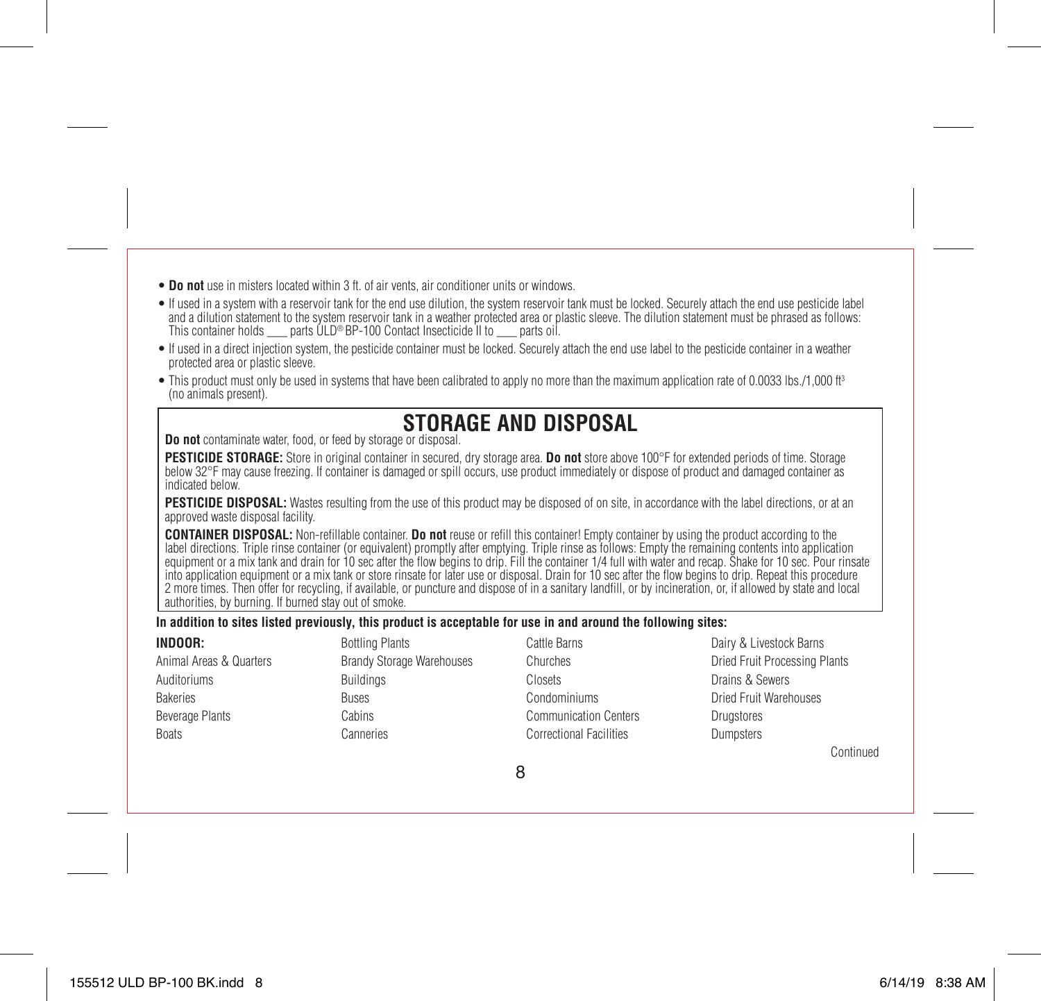- **Do not** use in misters located within 3 ft. of air vents, air conditioner units or windows.
- If used in a system with a reservoir tank for the end use dilution, the system reservoir tank must be locked. Securely attach the end use pesticide label and a dilution statement to the system reservoir tank in a weather protected area or plastic sleeve. The dilution statement must be phrased as follows: This container holds \_\_\_ parts ULD® BP-100 Contact Insecticide II to \_\_\_ parts oil.
- If used in a direct injection system, the pesticide container must be locked. Securely attach the end use label to the pesticide container in a weather protected area or plastic sleeve.
- This product must only be used in systems that have been calibrated to apply no more than the maximum application rate of 0.0033 lbs./1,000 ft<sup>3</sup> (no animals present).

# **STORAGE AND DISPOSAL**

**Do not** contaminate water, food, or feed by storage or disposal.

**PESTICIDE STORAGE:** Store in original container in secured, dry storage area. **Do not** store above 100°F for extended periods of time. Storage below 32°F may cause freezing. If container is damaged or spill occurs, use product immediately or dispose of product and damaged container as indicated below.

**PESTICIDE DISPOSAL:** Wastes resulting from the use of this product may be disposed of on site, in accordance with the label directions, or at an approved waste disposal facility.

**CONTAINER DISPOSAL:** Non-refillable container. **Do not** reuse or refill this container! Empty container by using the product according to the label directions. Triple rinse container (or equivalent) promptly after emptying. Triple rinse as follows: Empty the remaining contents into application equipment or a mix tank and drain for 10 sec after the flow begins to drip. Fill the container 1/4 full with water and recap. Shake for 10 sec. Pour rinsate into application equipment or a mix tank or store rinsate for later use or disposal. Drain for 10 sec after the flow begins to drip. Repeat this procedure 2 more times. Then offer for recycling, if available, or puncture and dispose of in a sanitary landfill, or by incineration, or, if allowed by state and local authorities, by burning. If burned stay out of smoke.

### **In addition to sites listed previously, this product is acceptable for use in and around the following sites:**

| INDOOR:                 | <b>Bottling Plants</b>           | Cattle Barns                   | Dairy & Livestock Barns       |
|-------------------------|----------------------------------|--------------------------------|-------------------------------|
| Animal Areas & Quarters | <b>Brandy Storage Warehouses</b> | Churches                       | Dried Fruit Processing Plants |
| Auditoriums             | <b>Buildings</b>                 | Closets                        | Drains & Sewers               |
| <b>Bakeries</b>         | <b>Buses</b>                     | Condominiums                   | <b>Dried Fruit Warehouses</b> |
| Beverage Plants         | Cabins                           | <b>Communication Centers</b>   | Drugstores                    |
| <b>Boats</b>            | Canneries                        | <b>Correctional Facilities</b> | Dumosters                     |
|                         |                                  |                                | Continued                     |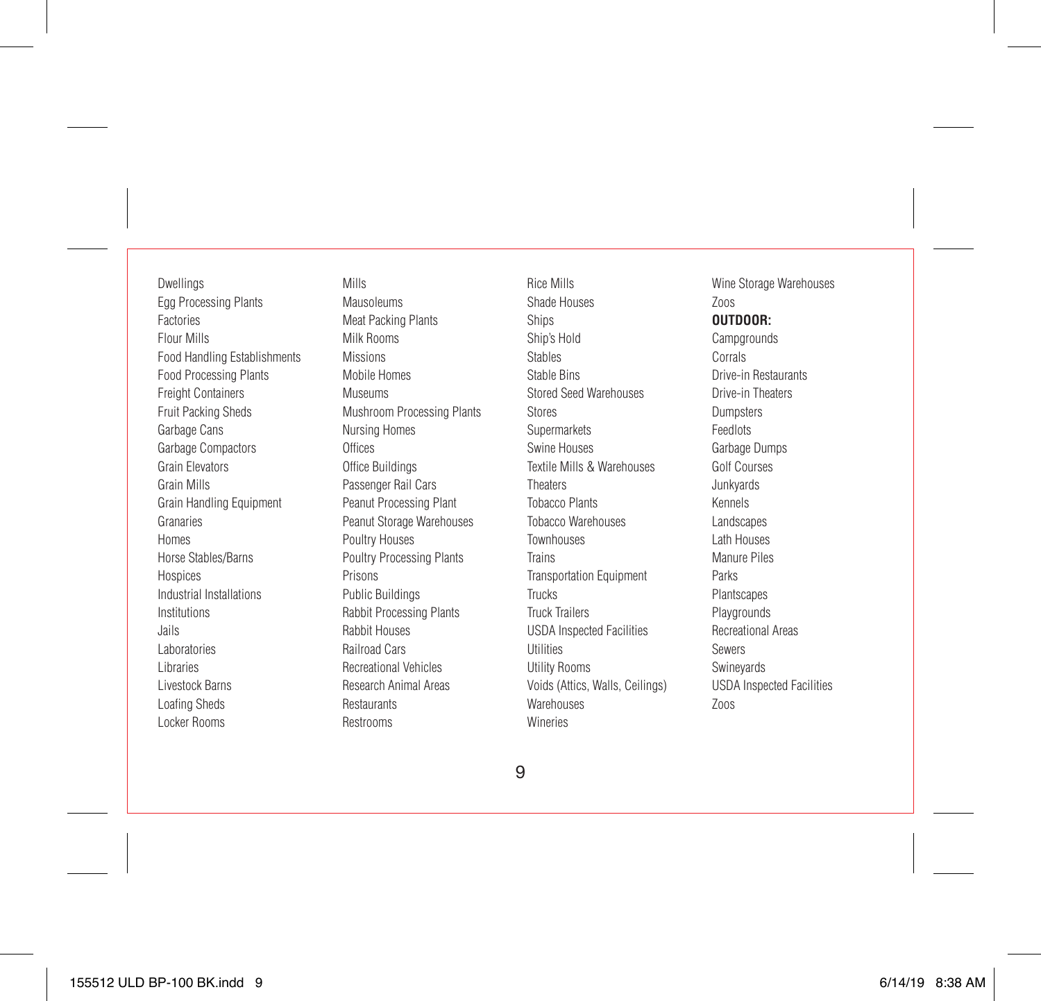Dwellings Egg Processing Plants Factories Flour Mills Food Handling Establishments Food Processing Plants **Freight Containers** Fruit Packing Sheds Garbage Cans Garbage Compactors Grain Elevators Grain Mills Grain Handling Equipment Granaries Homes Horse Stables/Barns Hospices Industrial Installations Institutions Jails Laboratories Libraries Livestock Barns Loafing Sheds Locker Rooms

Mills Mausoleums Meat Packing Plants Milk Rooms Missions Mobile Homes Museums Mushroom Processing Plants Nursing Homes **Offices** Office Buildings Passenger Rail Cars Peanut Processing Plant Peanut Storage Warehouses Poultry Houses Poultry Processing Plants Prisons Public Buildings Rabbit Processing Plants Rabbit Houses Railroad Cars Recreational Vehicles Research Animal Areas **Restaurants** Restrooms

Rice Mills Shade Houses Ships Ship's Hold Stables Stable Bins Stored Seed Warehouses Stores Supermarkets Swine Houses Textile Mills & Warehouses **Theaters** Tobacco Plants Tobacco Warehouses Townhouses Trains Transportation Equipment Trucks Truck Trailers USDA Inspected Facilities Utilities Utility Rooms Voids (Attics, Walls, Ceilings) Warehouses Wineries

Wine Storage Warehouses Zoos **OUTDOOR: Campgrounds** Corrals Drive-in Restaurants Drive-in Theaters Dumpsters Feedlots Garbage Dumps Golf Courses Junkyards Kennels Landscapes Lath Houses Manure Piles Parks Plantscapes Playgrounds Recreational Areas Sewers Swineyards USDA Inspected Facilities Zoos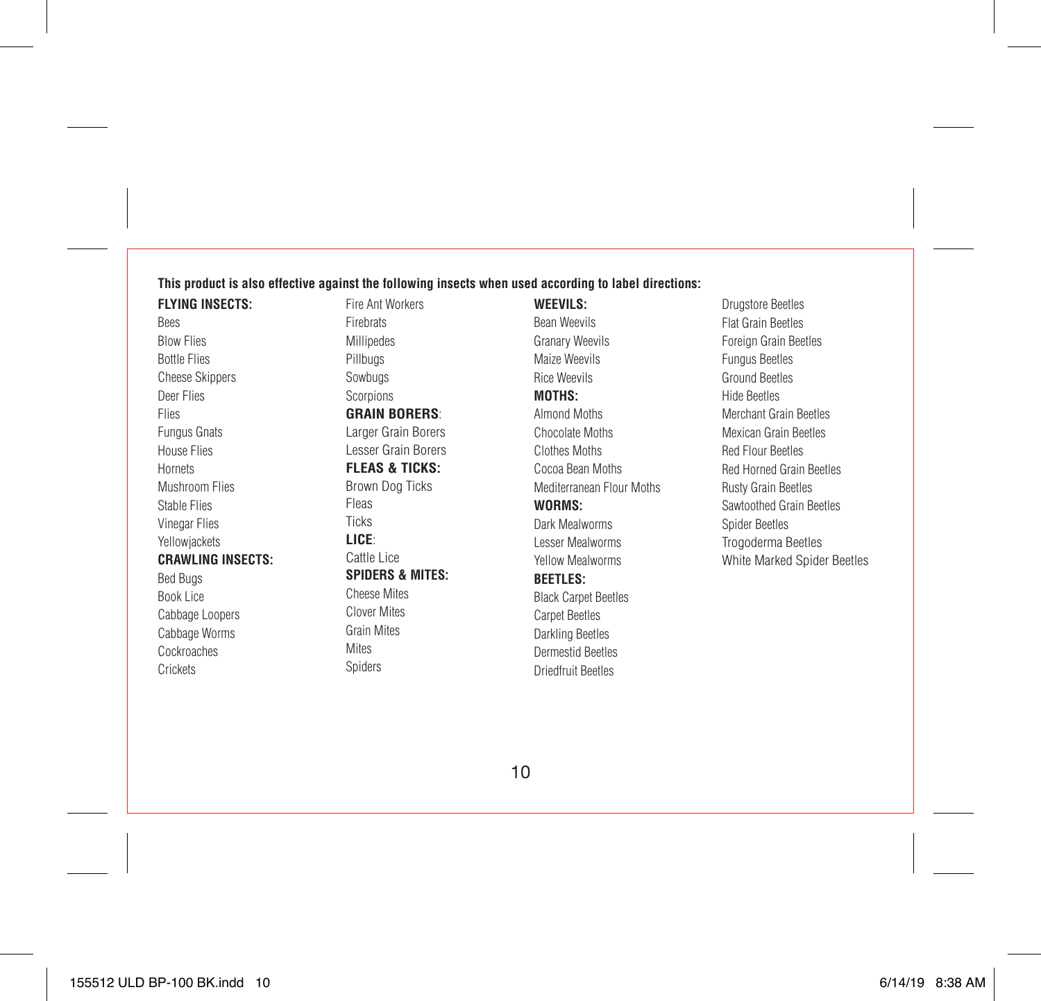# **This product is also effective against the following insects when used according to label directions:**

**FLYING INSECTS:** Bees Blow Flies Bottle Flies Cheese Skippers Deer Flies Flies Fungus Gnats House Flies Hornets Mushroom Flies Stable Flies Vinegar Flies Yellowjackets **CRAWLING INSECTS:** Bed Bugs Book Lice Cabbage Loopers Cabbage Worms Cockroaches **Crickets** 

Fire Ant Workers Firebrats Millipedes Pillbugs Sowbugs Scorpions **GRAIN BORERS**: Larger Grain Borers Lesser Grain Borers **FLEAS & TICKS:** Brown Dog Ticks Fleas Ticks **LICE**: Cattle Lice **SPIDERS & MITES:** Cheese Mites Clover Mites Grain Mites

Mites Spiders **WEEVILS:** Bean Weevils Granary Weevils Maize Weevils Rice Weevils **MOTHS:** Almond Moths Chocolate Moths Clothes Moths Cocoa Bean Moths Mediterranean Flour Moths **WORMS:** Dark Mealworms Lesser Mealworms Yellow Mealworms **BEETLES:** Black Carpet Beetles Carpet Beetles Darkling Beetles Dermestid Beetles

Driedfruit Beetles

Drugstore Beetles Flat Grain Beetles Foreign Grain Beetles Fungus Beetles Ground Beetles Hide Beetles Merchant Grain Beetles Mexican Grain Beetles Red Flour Beetles Red Horned Grain Beetles Rusty Grain Beetles Sawtoothed Grain Beetles Spider Beetles Trogoderma Beetles White Marked Spider Beetles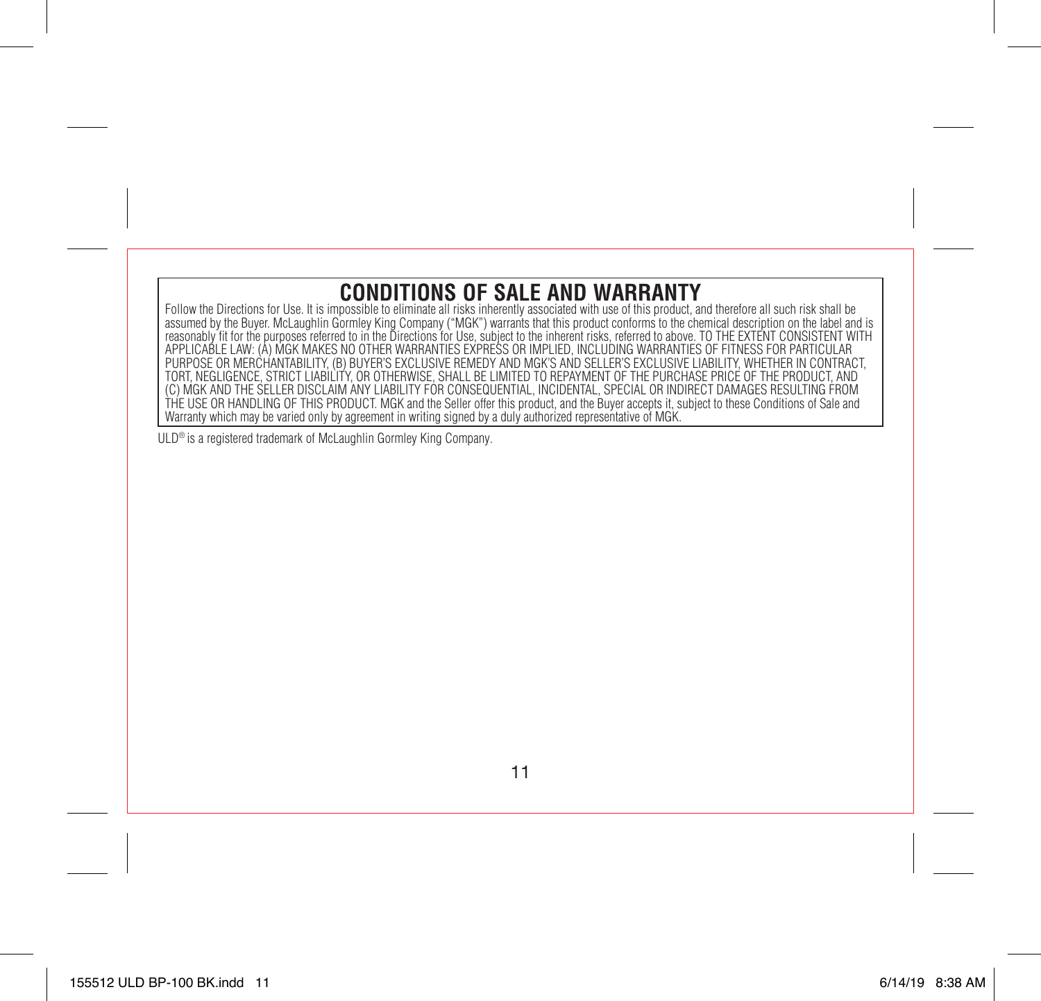# **CONDITIONS OF SALE AND WARRANTY**

Follow the Directions for Use. It is impossible to eliminate all risks inherently associated with use of this product, and therefore all such risk shall be assumed by the Buyer. McLaughlin Gormley King Company ("MGK") warrants that this product conforms to the chemical description on the label and is reasonably fit for the purposes referred to in the Directions for Use, subject to the inherent risks, referred to above. TO THE EXTENT CONSISTENT WITH APPLICABLE LAW: (A) MGK MAKES NO OTHER WARRANTIES EXPRESS OR IMPLIED, INCLUDING WARRANTIES OF FITNESS FOR PARTICULAR PURPOSE OR MERCHANTABILITY, (B) BUYER'S EXCLUSIVE REMEDY AND MGK'S AND SELLER'S EXCLUSIVE LIABILITY, WHETHER IN CONTRACT, TORT, NEGLIGENCE, STRICT LIABILITY, OR OTHERWISE, SHALL BE LIMITED TO REPAYMENT OF THE PURCHASE PRICE OF THE PRODUCT, AND (C) MGK AND THE SELLER DISCLAIM ANY LIABILITY FOR CONSEQUENTIAL, INCIDENTAL, SPECIAL OR INDIRECT DAMAGES RESULTING FROM THE USE OR HANDLING OF THIS PRODUCT. MGK and the Seller offer this product, and the Buyer accepts it, subject to these Conditions of Sale and Warranty which may be varied only by agreement in writing signed by a duly authorized representative of MGK.

ULD® is a registered trademark of McLaughlin Gormley King Company.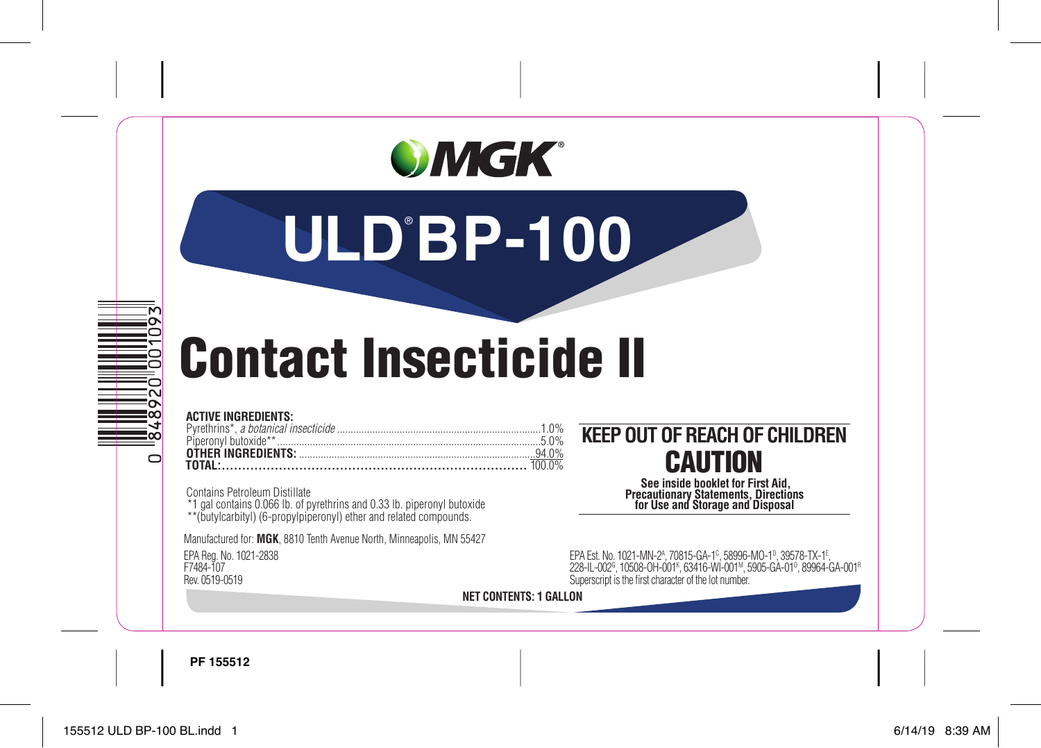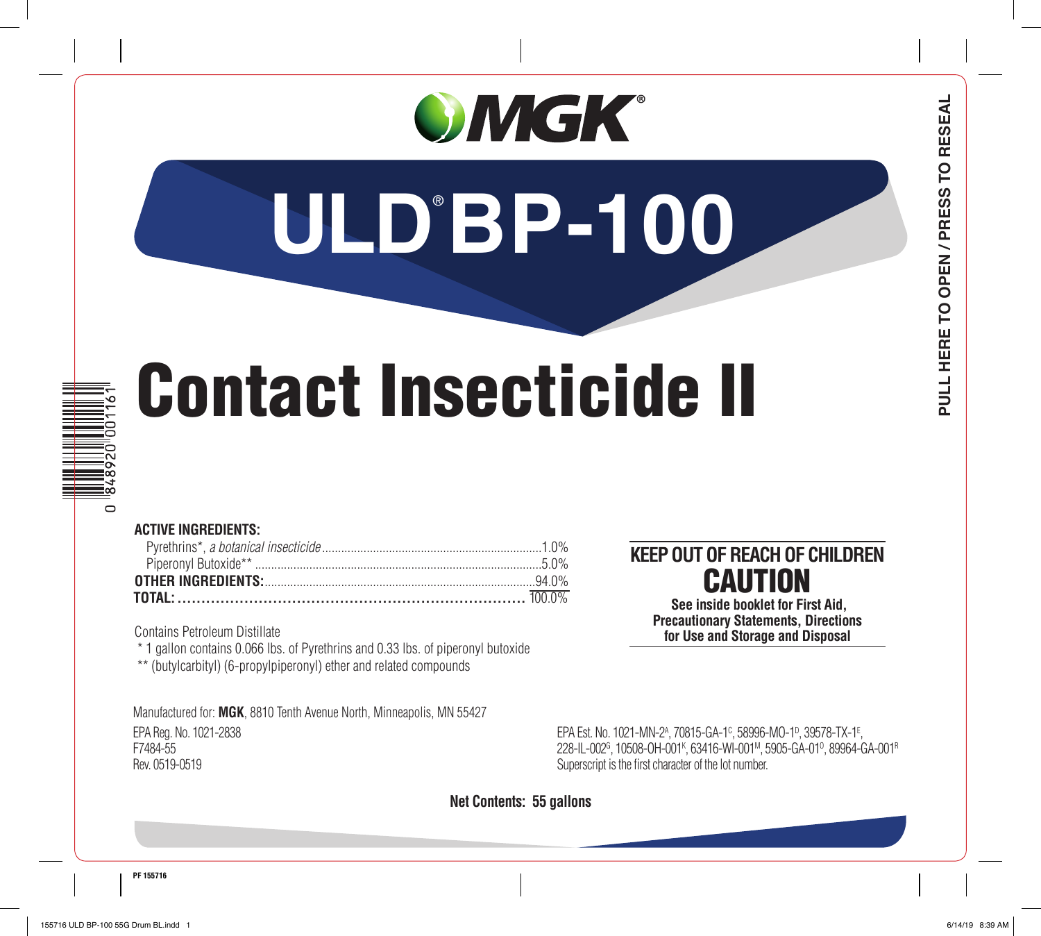# OMGK®

# **ULD**® **BP-100**

# Contact Insecticide II

# $\circ$

# **ACTIVE INGREDIENTS:**

| <b>OTHER INGREDIENTS:</b> 07HER INGREDIENTS: |  |
|----------------------------------------------|--|
|                                              |  |

Contains Petroleum Distillate

\* 1 gallon contains 0.066 lbs. of Pyrethrins and 0.33 lbs. of piperonyl butoxide

\*\* (butylcarbityl) (6-propylpiperonyl) ether and related compounds

Manufactured for: **MGK**, 8810 Tenth Avenue North, Minneapolis, MN 55427 EPA Reg. No. 1021-2838 EPA Est. No. 1021-MN-2A , 70815-GA-1C , 58996-MO-1D , 39578-TX-1E , F7484-55 228-IL-002G , 10508-OH-001K , 63416-WI-001M, 5905-GA-01O , 89964-GA-001R Rev. 0519-0519 Superscript is the first character of the lot number.

# **KEEP OUT OF REACH OF CHILDREN** CAUTION **See inside booklet for First Aid,**

**Precautionary Statements, Directions for Use and Storage and Disposal**

# **Net Contents: 55 gallons**

**PULL HERE TO OPEN / PRESS TO RESEAL**

PULL HERE TO OPEN / PRESS TO RESEAL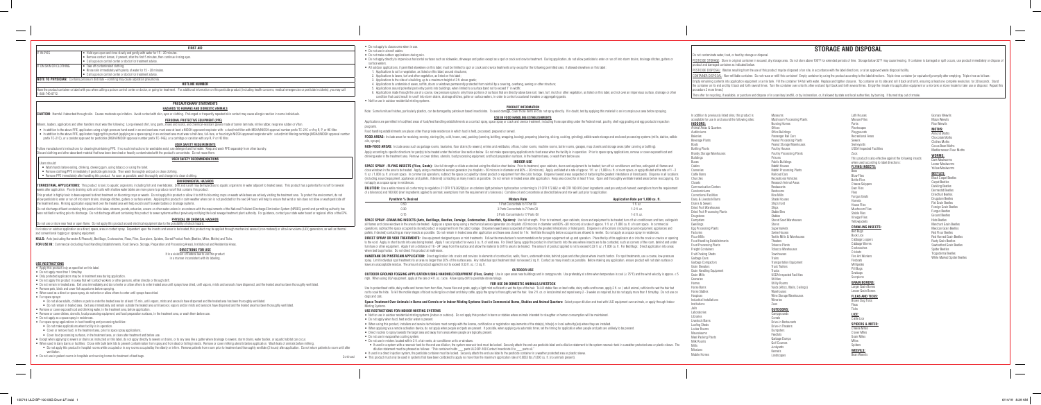- Do not apply to classrooms when in use.
- Do not use in aircraft cabins
- Do not make outdoor applications during rain.
- surface waters
- All outdoor applications, if permitted elsewhere on this label, must be limited to spot or crack and crevice treatments only, except for the following permitted uses, if allowed elsewhere on this label: 1. Applications to soil or vegetation, as listed on this label, around structures;
- 2. Applications to lawns, turf and other vegetation, as listed on this label;
- 3. Applications to the side of a building, up to a maximum height of 3 ft. above grade;
- 4. Applications to underside of eaves, soffits, doors or windows permanently protected from rainfall by a covering, overhang, awning or other structure;
- 5. Applications around potential pest entry points into buildings, when limited to a surface band not to exceed 1" in width;
- condition that could result in runoff into storm drains, drainage ditches, gutter or surface waters, in order to control occasional invaders or aggregating pests.
- Not for use in outdoor residential misting systems.

Note: Some furniture finishes, particularly plastics, can be damaged by petroleum based insecticides. To avoid damage, cover those items and do not spray directly. If in doubt, test by applying this material to an inconspi

# **PRODUCT INFORMATION**

# **USE IN FOOD HANDLING ESTABLISHMENTS**

Applications are permitted in food/feed areas of food/feed handling establishments as a contact spray, space spray or crack and crevice treatment, including those operating under the Federal meat, poultry, shell egg gradin

FOOD AREAS: Include areas for receiving, serving, storing (dry, cold, frozen, raw), packing (canning, bottling, wrapping, boxing), preparing (cleaning, slicing, cooking, grinding), edible waste storage and enclosed process

SPACE SPRAY - FLYING INSECTS (Flies, Gnats): Use full strength or dilute as desired using the dilution chart below. Prior to treatment, open cabinets, doors and equipment to be treated; turn off air conditioners and fans, close windows in the area to be treated. Apply using a mechanical aerosol generator (no droplets > 50 microns in diameter and 80% < 30 microns). Apply undiluted at a rate of approx. 1 fl. oz. / 1,000 cu. ft. of room space, (1.000 cu ft of room space, In commercial operations, subtract the space occupied by stored product or equipment from the cubic fontage. Disperse toward areas suspected of barborion the organism the states infestations of (including around equipment, appliances and pallets, if desired) contacting as many insects as possible. Do not remain in treated areas after application. Keep area closed for at least 1 hour. Open and thoroughly ventilate not apply as a space spray in residences.

programs.

Food handling establishments are places other than private residences in which food is held, processed, prepared or served.

DILUTION: Use a white mineral oil conforming to requlation 21 CFR 178.3620(b) or an odorless light petroleum hydrocarbon conforming to 21 CFR 172.882 or 40 CFR 180.910 (inert ingredients used pre and post-harvest: exemptio of a tolerance) and 180.930 (inert ingredients applied to animals; exemptions from the requirement of a tolerance.) Combine oil and concentrate as directed below and mix well just prior to application.

| Pyrethrin % Desired |  |
|---------------------|--|
| 0.50                |  |
| 0.30                |  |
| 0.15                |  |

SPACE SPRAY -CRAWLING INSECTS (Ants, Bed Bugs, Beetles, Earwigs, Cockroaches, Silverfish, Spiders): Use full strength. Prior to treatment, open cabinets, doors and equipment to be treated; turn off air conditioners and fan all flames and close windows in the area to be treated. Apply as a space spray using a mechanical aerosol generator (no droplets >50 microns in diameter and 80% <30 microns) at a rate of approx. 1 fl. oz. / 1.000 cu. ft. o operations, subtract the space occupied by stored product or equipment from the cubic footage. Disperse toward areas suspected of harboring the greatest infestations of listed pests. Disperse in all locations (including ar pallets, if desired) contacting as many insects as possible. Do not remain in treated area after application and leave area closed for 1 hr. Ventilate thoroughly before occupants are allowed to reenter. Do not apply as a s

DIRECT SPRAY OR VOID TREATMENTS: Use equipment designed space or mist treatments. Follow the manufacturer's recommendations for proper equipment set up and operation. Place the tip of the applicator at or into the crack or to the void. Apply in short bursts into area being treated. Apply 1 sec of product for every 3 cu. ft. of void area. For Direct Spray, apply the product in short bursts into the area where insects are to be contacted, such furniture or other equipment. Apply from a distance of 18 - 24" away from the surface and allow the material to drift to area to be treated. The amount of product applied is not to exceed 0.33 fl. oz. / 1,000 cu. ft. For B where bed bugs harbor. Do not direct this product at mattresses

oils, syrups).

NON-FOOD AREAS: Include areas such as garbage rooms, lavatories, floor drains (to sewers), entries and vestibules, offices, locker rooms, machine rooms, boiler rooms, garages, mop closets and storage areas (after canning o Apply according to specific directions for pest(s) to be treated under the Indoor Use section below. Do not make space spray applications to food areas when the facility is in operation. Prior to space spray applications, drinking water in the treatment area. Remove or cover dishes, utensils, food processing equipment, and food preparation surfaces, in the treatment area, or wash them before use.

# **INDOOR USE**

HANDTANK OR PINSTREAM APPLICATION: Direct application into cracks and crevices in elements of construction, walls, floors, underneath sinks, behind pipes and other places where insects harbor. For spot treatments, use a co spray. Limit individual spot treatments to an area no larger than 20% of the surface area. Any individual spot treatment shall not exceed 2 sq. ft. Contact as many insects as possible. Before making any application, ensure leave an unacceptable residue. The amount of product applied is not to exceed 0.33 fl. oz. / 2 sq. ft.

OUTDOOR GROUND FOGGING APPLICATION USING HANDHELD EQUIPMENT (Flies, Gnats): Use in open areas near buildings and in campgrounds. Use preferably at a time when temperature is cool (≤ 75°F) and the wind velocity is approx. ≤ mph. When using ULV equipment, apply at the rate of 4 fl. oz. / acre. Allow spray drift to penetrate dense foliage

Use to protect beef cattle, dairy cattle and horses from horn flies, house flies and gnats, apply a light mist sufficient to wet the tips of the hair. To kill stable flies on beef cattle, dairy cattle and horses, apply 2 f not to soak the hide. To kill the motile stages of blood sucking lice on beef and dairy cattle, apply the spray to thoroughly wet the hair. Use 2 fl, oz, or less/animal and repeat every 2 - 3 weeks as required, but do not dogs and cats.

Space Treatment Over Animals in Barns and Corrals or in Indoor Misting Systems Used in Commercial Barns, Stables and Animal Quarters: Select proper dilution and treat with ULD equipment over animals, or apply through Indoo Misting Systems.

- Do not use in misters located within 3 ft. of air vents, air conditioner units or windows. dilution statement must be phrased as follows:· "This container holds \_\_\_ parts ULD BP-100 Contact Insecticide II to \_\_\_ parts oil."
- If used in a direct injection system, the pesticide container must be locked. Securely attach the end use label to the pesticide container in a weather protected area or plastic sleeve.
- This product must only be used in systems that have been calibrated to apply no more than the maximum application rate of 0.0033 lbs./1,000 cu. ft. (no animals present).

| Pyrethrin % Desired | <b>Mixture Rate</b>                 | Application Rate per 1,000 cu. ft. |
|---------------------|-------------------------------------|------------------------------------|
| 0.50                | 1 Part Concentrate to 1 Part Oil    | 1 fl. oz.                          |
| 0.30                | 3 Parts Concentrate to 7 Parts Oil  | $1-2$ fl. oz.                      |
| 0.15                | 3 Parts Concentrate to 17 Parts Oil | $1-2$ fl. oz.                      |

PESTICIDE STORAGE: Store in original container in secured, dry storage area. Do not store above 100°F for extended periods of time. Storage below 32°F may cause freezing. If container is damaged or spill occurs, use produc product and damaged container as indicated below.

Have the product container or label with you when calling a poison control center or doctor, or going for treatment. For additional information on this pesticide product (including health concerns, medical emergencies or p 1-888-740-8712.

- . In addition to the above PPE, applicators using a high-pressure hand wand in an enclosed area must wear at least a NIOSH-approved respirator with: a dust/mist filter with MSHA/NIOSH approval number prefix TC-21C or Any R
- . In addition to the above PPE, applicators fogging this product (applying as a space spray) in an enclosed area must wear a half-face, full-face, or hood-style NIOSH-approved respirator with: a dust/mist filtering cartrid prefix TC-21C), or a canister approved for pesticides (MSHA/NIOSH approval number prefix TC-14G), or a cartridge or canister with any R, P or HE filter.

Follow manufacturer's instructions for cleaning/maintaining PPE. If no such instructions for washables exist, use detergent and hot water. Keep and wash PPE separately from other laundry. Discard clothing and other absorbent material that have been drenched or heavily contaminated with the product's concentrate. Do not reuse them.

# **USER SAFETY RECOMMENDATION**

- Wash hands before eating, drinking, chewing gum, using tobacco or using the toilet.
- Remove clothing/PPE immediately if pesticide gets inside. Then wash thoroughly and put on clean clothing.

### **OUTDOOR USE**

TERRESTRIAL APPLICATIONS: This product is toxic to aquatic organisms, including fish and invertebrates. Drift and runoff may be hazardous to aquatic organisms in water adjacent to treated areas. This product has a potentia weeks after application. Poorly draining soils and soils with shallow water tables are more prone to produce runoff that contains this product.

# **FOR USE ON DOMESTIC ANIMALS/LIVESTOCK**

This product is highly toxic to bees exposed to direct treatment on blooming crops or weeds. Do not apply this product or allow it to drift to blooming crops or weeds while bees are actively visiting the treatment area. To illow pesticide to enter or run off into storm drains, drainage ditches, gutters or surface waters. Applying this product in calm weather when rain is not predicted for the next 24 hours will help to ensure that wind or ra the treatment area. Rinsing application equipment over the treated area will help avoid runoff to water bodies or drainage systems.

Do not discharge effluent containing this product into lakes, streams, ponds, estuaries, oceans or other water unless in accordance with the requirements of the National Pollutant Discharge Elimination System (NPDES) permi been notified in writing prior to discharge. Do not discharge effluent containing this product to sewer systems without previously notifying the local sewage treatment plant authority. For quidance, contact your state wate

# **PHYSICAL OR CHEMICAL HAZARDS** Do not use or store near heat or open flame. Do not apply this product around electrical equipment due to the possibility of shock hazard.

For indoor or outdoor application as a direct, space, area or contact spray. Dependent upon the insects and areas to be treated, this product may be applied through mechanical aerosol (non-metered) or ultra-low volume (ULV and conventional fogging or spraying equipment.

> It is a violation of Federal law to use this product in a manner inconsistent with its labeling.

# **USE RESTRICTIONS FOR INDOOR MISTING SYSTEMS**

• Not for use in outdoor residential misting systems (indoor or outdoor). Do not apply this product in barns or stables where animals intended for slaughter or human consumption will be maintained.

• When using this product, installers and service technicians must comply with the license, certification or registration requirements of the state(s), tribe(s) or local authority(ies) where they are installed. • When applying via a remote activation device, do not apply when people and pets are present. If possible, when applying via automatic timer, set the timing for application when people and pets are unlikely to be present.

. If used in a system with a reservoir tank for the end use dilution, the system reservoir tank must be locked. Securely attach the end use pesticide label and a dilution statement to the system reservoir tank in a weather

- 
- Do not apply when food, feed and/or water is present.
- 
- Direct nozzles to spray towards the target area and away from areas where people are typically present.
- Do not use in evaporative cooling system.
- 

# **STORAGE AND DISPOSAL**

Do not contaminate water, food, or feed by storage or disposal.

Campground Corrals Drive-in Restaurants Drive-in Theaters Dumpsters Feedlots Garbage Dumps Golf Courses Junkyards Kennels Landscapes

PESTICIDE DISPOSAL: Wastes resulting from the use of this product may be disposed of on site, in accordance with the label directions, or at an approved waste disposal facility.

CONTAINER DISPOSAL: Non-refillable container. Do not reuse or refill this container! Empty container by using the product according to the label directions. Triple rinse container (or equivalent) promptly after emptying. T Fronty remaining contents into application equipment or a mix tank. Fill the container 1/4 full with water. Replace and tighten closures. Tip container on its side and roll it back and forth, ensuring at least one complete the container on its end and tip it back and forth several times. Turn the container over onto its other end and tip it back and forth several times. Empty the rinsate into application equipment or a mix tank or store rins

|                                                                                                    | <b>FIRST AID</b>                                                                          |  |
|----------------------------------------------------------------------------------------------------|-------------------------------------------------------------------------------------------|--|
| I IF IN EYES<br>Hold eyes open and rinse slowly and gently with water for 15 - 20 minutes.         |                                                                                           |  |
|                                                                                                    | Remove contact lenses, if present, after the first 5 minutes, then continue rinsing eyes. |  |
|                                                                                                    | • Call a poison control center or doctor for treatment advice.                            |  |
| I IF ON SKIN OR CLOTHING                                                                           | Take off contaminated clothing.                                                           |  |
|                                                                                                    | Rinse skin immediately with plenty of water for 15 - 20 minutes.                          |  |
|                                                                                                    | • Call a poison control center or doctor for treatment advice.                            |  |
| <b>NOTE TO PHYSICIAN:</b> Contains petroleum distillate – vomiting may cause aspiration pneumonia. |                                                                                           |  |
|                                                                                                    | <b>HOTLINE NUMBER</b>                                                                     |  |

# **PRECAUTIONARY STATEMENTS**

# **HAZARDS TO HUMANS AND DOMESTIC ANIMALS**

**CAUTION**: Harmful if absorbed through skin. Causes moderate eye irritation. Avoid contact with skin, eyes or clothing. Prolonged or frequently repeated skin contact may cause allergic reaction in some individuals.

# **PERSONAL PROTECTIVE EQUIPMENT (PPE)**

Mixers, loaders, applicators and other handlers must wear the following: Long-sleeved shirt, long pants, shoes and socks, and chemical-resistant gloves made of barrier laminate, nitrile rubber, neoprene rubber or Viton.

# **USER SAFETY REQUIREMENTS**

Users should:

• Remove PPE immediately after handling this product. As soon as possible, wash thoroughly and change into clean clothing.

# **ENVIRONMENTAL HAZARDS**

procedure 2 more times.] In addition to previously listed sites, this product is acceptable for use in and around the following sites: **INDOORS:** Animal Areas & Quarters Auditoriums Bakeries Beverage Plants Boats Bottling Plants Brandy Storage Warehouses **Buildings** Buses

**Cabins** 

**KILLS:** Ants (excluding Harvester & Pharaoh), Bed Bugs, Cockroaches, Fleas, Flies, Scorpions, Spiders, Stored Product Pests (Beetles, Mites, Moths) and Ticks.

FOR USE IN: Commercial (including Food Handling Establishments, Food Service, Storage, Preparation and Processing Areas), Institutional and Residential Areas.

# **DIRECTIONS FOR USE**

# **USE RESTRICTIONS**

- Apply this product only as specified on this label.
- Do not apply more than 1 time/day.
- Only protected applicators may be in treatment area during application.
- Do not apply this product in a way that will contact workers or other persons, either directly or through drift.
- . Do not remain in treated area. Exit area immediately and do not enter or allow others to enter treated area until sprays have dried, until vapors, mists and aerosols have dispersed, and the treated area has been thorough
- Remove pets, birds and cover fish aquariums before spraying.
- When used as a direct or space spray, do not enter or allow others to enter until sprays have dried.
- For space sprays:
- Do not allow adults, children or pets to enter the treated area for at least 15 min, until vapors, mists and aerosols have dispersed and the treated area has been thoroughly ventilated.
- Do not remain in treated area. Exit area immediately and remain outside the treated area until aerosol, vapors and/or mists and aerosols have dispersed and the treated area has been thoroughly ventilated.
- Remove or cover exposed food and drinking water, in the treatment area, before applicatio
- Remove or cover dishes, utensils, food processing equipment, and food preparation surfaces, in the treatment area, or wash them before use.
- Do not apply as a space spray in residences.
- For space spray applications in food handling and processing facilities:
- Do not make applications when facility is in operation.
- Cover or remove food, in the treatment area, prior to space spray applications.
- Cover food processing surfaces, in the treatment area, or clean after treatment and before use.
- Except when applying to sewers or drains as instructed on this label, do not apply directly to sewers or drains, or to any area like a gutter where drainage to sewers, storm drains, water bodies, or aquatic habitat can occ
- . When used in dairy barns or facilities: Close milk bulk tank lids to prevent contamination from spray and from dead or falling insects. Remove or cover milking utensils before application. Wash teats of animals before mi
- . Do not apply this product in hospital rooms while occupied or in any rooms occupied by the elderly or infirm. Remove patients from room prior to treatment and thoroughly ventilate (2 hours) after application. Do not retu ventilation.

• Do not use in patient rooms in hospitals and nursing homes for treatment of bed bugs.

Closets

Canneries Cattle Barns Churches Communication Centers Condominiums Correctional Facilities Dairy & Livestock Barns Drains & Sewers Dried Fruit Warehouses Dried Fruit Processing Plants Drugstores Dumpsters Dwellings Egg Processing Plants Factories Flour Mills Food Handling Establishments Food Processing Plants **Freight Containers** Fruit Packing Sheds Garbage Cans Garbage Compactors Grain Elevators Grain Handling Equipment Grain Mills Granaries Horse Barns Horse Stables Hospices Industrial Installations Institutions Laboratories Libraries Livestock Barns Loafing Sheds Locker Rooms Mausoleums Meat Packing Plants Milk Rooms Missions Mobile Homes

Homes

Jails

Mills

Museums Mushroom Processing Plants Nursing Homes **Offices** Office Buildings Passenger Rail Cars Peanut Processing Plants Peanut Storage Warehouses Poultry Houses Poultry Processing Plants Prisons Public Buildings Rabbit Houses Rabbit Processing Plants Railroad Cars Recreational Vehicles Research Animal Areas Restaurants Restrooms Rice Mills Shade Houses Ship's hold Ships Stable Bins Stables Stored Seed Warehouses Stores **Supermarkets** Swine Houses Textile Mills & Warehouses Theaters Tobacco Plants Tobacco Warehouses Townhouses Trains Transportation Equipment Truck Trailers Trucks USDA Inspected Facilities **Utilities** Utility Rooms Voids (Attics, Walls, Ceilings) Warehouses Wine Storage Warehouses Wineries Zoos **OUTDOORS:**

Sewers

**Hornets** 

**Crickets** 

Lath Houses Manure Piles Parks Plantscapes Playgrounds Recreational Areas Swineyards USDA Inspected Facilities Zoos **FLYING INSECTS:** Bees Blow Flies Bottle Flies Cheese Skippers Deer Flies Flies Fungus Gnats House Flies Mushroom Flies Stable Flies **Vinegar Flies Yellowiackets CRAWLING INSECTS:** Bed Bugs Book Lice Cabbage Looper Cabbage Worms Cockroaches Fire Ant Workers Millipedes Pill Bugs Sowbugs Scorpions **GRAIN BORERS:** Larger Grain Borer Lesser Grain Borers **FLEAS AND TICKS:** Brown Dog Ticks Fleas Ticks **LICE: SPIDERS & MITES:**

Firebrats

Cattle Lice

Cheese Mites Clover Mites Grain Mites Mites Spiders **WEEVILS:** Bean Weevils

Then offer for recycling, if available, or puncture and dispose of in a sanitary landfill, or by incineration, or, if allowed by state and local authorities, by burning. If burned stay out of smoke.

This product is also effective against the following insects when used according to label directions: Maize Weevils Rice Weevils **MOTHS:** Almond Moths Chocolate Moths Clothes Moths Cocoa Bean Moths Mediterranean Flour Moths **WORMS:** Dark Mealworms Lesser Mealworms Yellow Mealworms **BEETLES:** Black Carpet Beetles Carpet Beetles Darkling Beetles Dermestid Beetles Driedfruit Beetles Drugstore Beetles Flat Grain Beetles Foreign Grain Beetles Fungus Beetles Ground Beetles Hide Beetles Merchant Grain Beetles Mexican Grain Beetles Red Flour Beetles Red Horned Grain Beetles Rusty Grain Beetles Sawtoothed Grain Beetles Spider Beetles ..<br>Trogoderma Beetles White Marked Spider Beetles

Granary Weevils

Continued

. Do not apply directly to impervious horizontal surfaces such as sidewalks, driveways and patios except as a spot or crack and crevice treatment. During application, do not allow pesticide to enter or run off into storm d

6. Applications made through the use of a coarse, low pressure spray to only those portions of surfaces that are directly above bare soil, lawn, turf, mulch or other vegetation, as listed on this label, and not over an imp